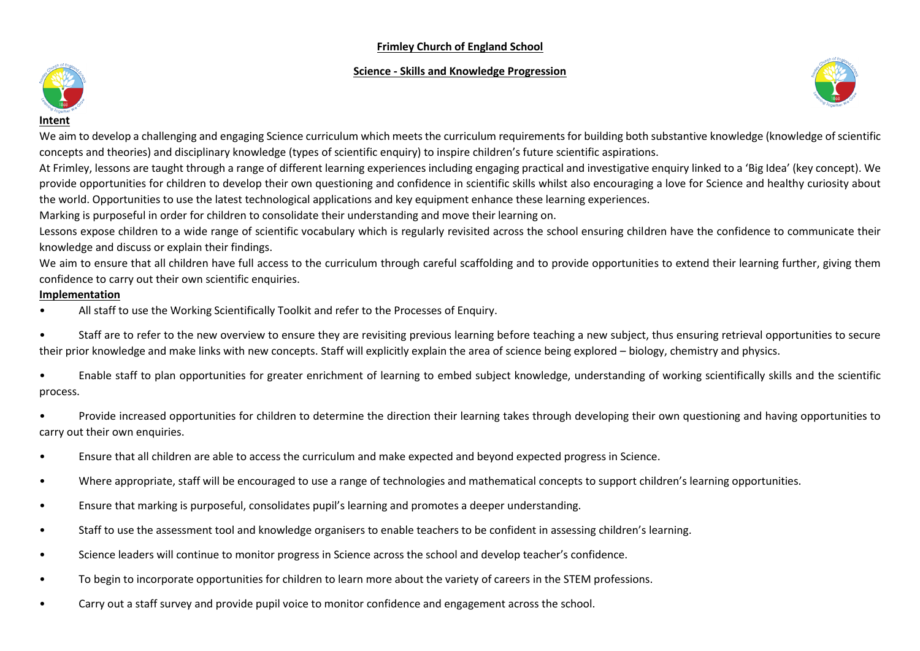# **Frimley Church of England School**

## **Science - Skills and Knowledge Progression**





**Intent**

We aim to develop a challenging and engaging Science curriculum which meets the curriculum requirements for building both substantive knowledge (knowledge of scientific concepts and theories) and disciplinary knowledge (types of scientific enquiry) to inspire children's future scientific aspirations.

At Frimley, lessons are taught through a range of different learning experiences including engaging practical and investigative enquiry linked to a 'Big Idea' (key concept). We provide opportunities for children to develop their own questioning and confidence in scientific skills whilst also encouraging a love for Science and healthy curiosity about the world. Opportunities to use the latest technological applications and key equipment enhance these learning experiences.

Marking is purposeful in order for children to consolidate their understanding and move their learning on.

Lessons expose children to a wide range of scientific vocabulary which is regularly revisited across the school ensuring children have the confidence to communicate their knowledge and discuss or explain their findings.

We aim to ensure that all children have full access to the curriculum through careful scaffolding and to provide opportunities to extend their learning further, giving them confidence to carry out their own scientific enquiries.

# **Implementation**

- All staff to use the Working Scientifically Toolkit and refer to the Processes of Enquiry.
- Staff are to refer to the new overview to ensure they are revisiting previous learning before teaching a new subject, thus ensuring retrieval opportunities to secure their prior knowledge and make links with new concepts. Staff will explicitly explain the area of science being explored – biology, chemistry and physics.
- Enable staff to plan opportunities for greater enrichment of learning to embed subject knowledge, understanding of working scientifically skills and the scientific process.
- Provide increased opportunities for children to determine the direction their learning takes through developing their own questioning and having opportunities to carry out their own enquiries.
- Ensure that all children are able to access the curriculum and make expected and beyond expected progress in Science.
- Where appropriate, staff will be encouraged to use a range of technologies and mathematical concepts to support children's learning opportunities.
- Ensure that marking is purposeful, consolidates pupil's learning and promotes a deeper understanding.
- Staff to use the assessment tool and knowledge organisers to enable teachers to be confident in assessing children's learning.
- Science leaders will continue to monitor progress in Science across the school and develop teacher's confidence.
- To begin to incorporate opportunities for children to learn more about the variety of careers in the STEM professions.
- Carry out a staff survey and provide pupil voice to monitor confidence and engagement across the school.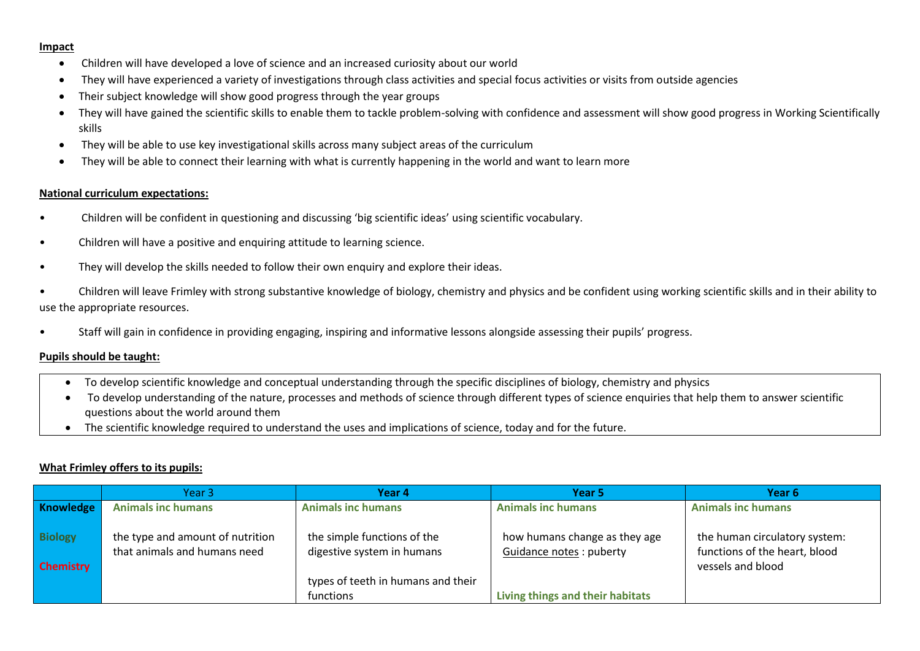#### **Impact**

- Children will have developed a love of science and an increased curiosity about our world
- They will have experienced a variety of investigations through class activities and special focus activities or visits from outside agencies
- Their subject knowledge will show good progress through the year groups
- They will have gained the scientific skills to enable them to tackle problem-solving with confidence and assessment will show good progress in Working Scientifically skills
- They will be able to use key investigational skills across many subject areas of the curriculum
- They will be able to connect their learning with what is currently happening in the world and want to learn more

## **National curriculum expectations:**

- Children will be confident in questioning and discussing 'big scientific ideas' using scientific vocabulary.
- Children will have a positive and enquiring attitude to learning science.
- They will develop the skills needed to follow their own enquiry and explore their ideas.
- Children will leave Frimley with strong substantive knowledge of biology, chemistry and physics and be confident using working scientific skills and in their ability to use the appropriate resources.
- Staff will gain in confidence in providing engaging, inspiring and informative lessons alongside assessing their pupils' progress.

## **Pupils should be taught:**

- To develop scientific knowledge and conceptual understanding through the specific disciplines of biology, chemistry and physics
- To develop understanding of the nature, processes and methods of science through different types of science enquiries that help them to answer scientific questions about the world around them
- The scientific knowledge required to understand the uses and implications of science, today and for the future.

## **What Frimley offers to its pupils:**

|                                    | Year 3                                                           | Year 4                                                                                                       | Year 5                                                                                        | Year 6                                                                              |
|------------------------------------|------------------------------------------------------------------|--------------------------------------------------------------------------------------------------------------|-----------------------------------------------------------------------------------------------|-------------------------------------------------------------------------------------|
| Knowledge                          | <b>Animals inc humans</b>                                        | <b>Animals inc humans</b>                                                                                    | <b>Animals inc humans</b>                                                                     | <b>Animals inc humans</b>                                                           |
| <b>Biology</b><br><b>Chemistry</b> | the type and amount of nutrition<br>that animals and humans need | the simple functions of the<br>digestive system in humans<br>types of teeth in humans and their<br>functions | how humans change as they age<br>Guidance notes : puberty<br>Living things and their habitats | the human circulatory system:<br>functions of the heart, blood<br>vessels and blood |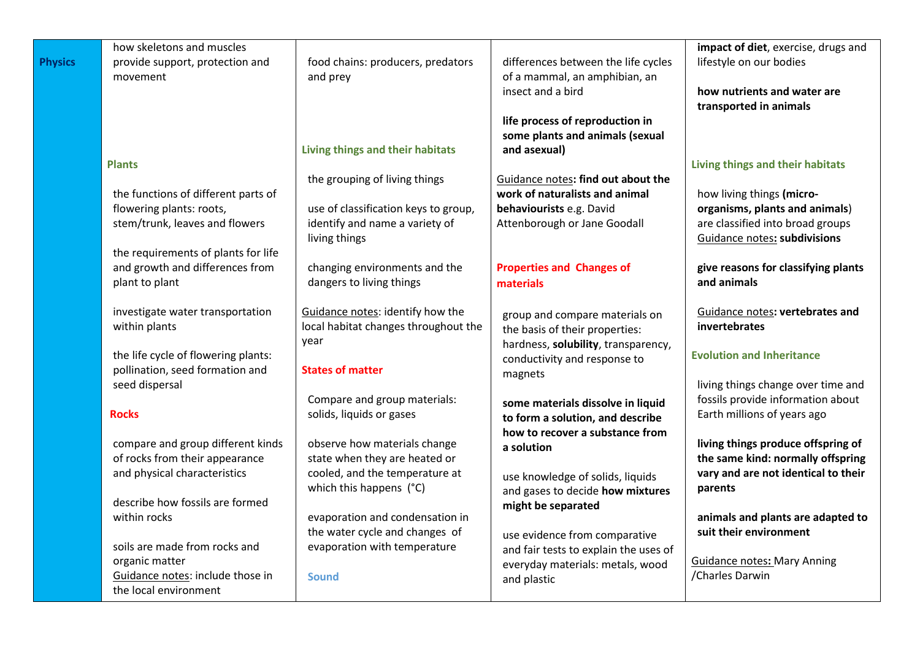|                | how skeletons and muscles                                           |                                                                   |                                                                        | impact of diet, exercise, drugs and                                     |
|----------------|---------------------------------------------------------------------|-------------------------------------------------------------------|------------------------------------------------------------------------|-------------------------------------------------------------------------|
| <b>Physics</b> | provide support, protection and<br>movement                         | food chains: producers, predators<br>and prey                     | differences between the life cycles<br>of a mammal, an amphibian, an   | lifestyle on our bodies                                                 |
|                |                                                                     |                                                                   | insect and a bird                                                      | how nutrients and water are                                             |
|                |                                                                     |                                                                   |                                                                        | transported in animals                                                  |
|                |                                                                     |                                                                   | life process of reproduction in                                        |                                                                         |
|                |                                                                     | Living things and their habitats                                  | some plants and animals (sexual<br>and asexual)                        |                                                                         |
|                | <b>Plants</b>                                                       |                                                                   |                                                                        | Living things and their habitats                                        |
|                |                                                                     | the grouping of living things                                     | Guidance notes: find out about the                                     |                                                                         |
|                | the functions of different parts of                                 |                                                                   | work of naturalists and animal                                         | how living things (micro-                                               |
|                | flowering plants: roots,                                            | use of classification keys to group,                              | behaviourists e.g. David                                               | organisms, plants and animals)                                          |
|                | stem/trunk, leaves and flowers                                      | identify and name a variety of<br>living things                   | Attenborough or Jane Goodall                                           | are classified into broad groups<br>Guidance notes: subdivisions        |
|                | the requirements of plants for life                                 |                                                                   |                                                                        |                                                                         |
|                | and growth and differences from                                     | changing environments and the                                     | <b>Properties and Changes of</b>                                       | give reasons for classifying plants                                     |
|                | plant to plant                                                      | dangers to living things                                          | materials                                                              | and animals                                                             |
|                | investigate water transportation                                    | Guidance notes: identify how the                                  |                                                                        | Guidance notes: vertebrates and                                         |
|                | within plants                                                       | local habitat changes throughout the                              | group and compare materials on<br>the basis of their properties:       | invertebrates                                                           |
|                |                                                                     | year                                                              | hardness, solubility, transparency,                                    |                                                                         |
|                | the life cycle of flowering plants:                                 |                                                                   | conductivity and response to                                           | <b>Evolution and Inheritance</b>                                        |
|                | pollination, seed formation and<br>seed dispersal                   | <b>States of matter</b>                                           | magnets                                                                | living things change over time and                                      |
|                |                                                                     | Compare and group materials:                                      | some materials dissolve in liquid                                      | fossils provide information about                                       |
|                | <b>Rocks</b>                                                        | solids, liquids or gases                                          | to form a solution, and describe                                       | Earth millions of years ago                                             |
|                |                                                                     |                                                                   | how to recover a substance from                                        |                                                                         |
|                | compare and group different kinds<br>of rocks from their appearance | observe how materials change<br>state when they are heated or     | a solution                                                             | living things produce offspring of<br>the same kind: normally offspring |
|                | and physical characteristics                                        | cooled, and the temperature at                                    | use knowledge of solids, liquids                                       | vary and are not identical to their                                     |
|                |                                                                     | which this happens (°C)                                           | and gases to decide how mixtures                                       | parents                                                                 |
|                | describe how fossils are formed                                     |                                                                   | might be separated                                                     |                                                                         |
|                | within rocks                                                        | evaporation and condensation in<br>the water cycle and changes of |                                                                        | animals and plants are adapted to<br>suit their environment             |
|                | soils are made from rocks and                                       | evaporation with temperature                                      | use evidence from comparative<br>and fair tests to explain the uses of |                                                                         |
|                | organic matter                                                      |                                                                   | everyday materials: metals, wood                                       | <b>Guidance notes: Mary Anning</b>                                      |
|                | Guidance notes: include those in                                    | <b>Sound</b>                                                      | and plastic                                                            | /Charles Darwin                                                         |
|                | the local environment                                               |                                                                   |                                                                        |                                                                         |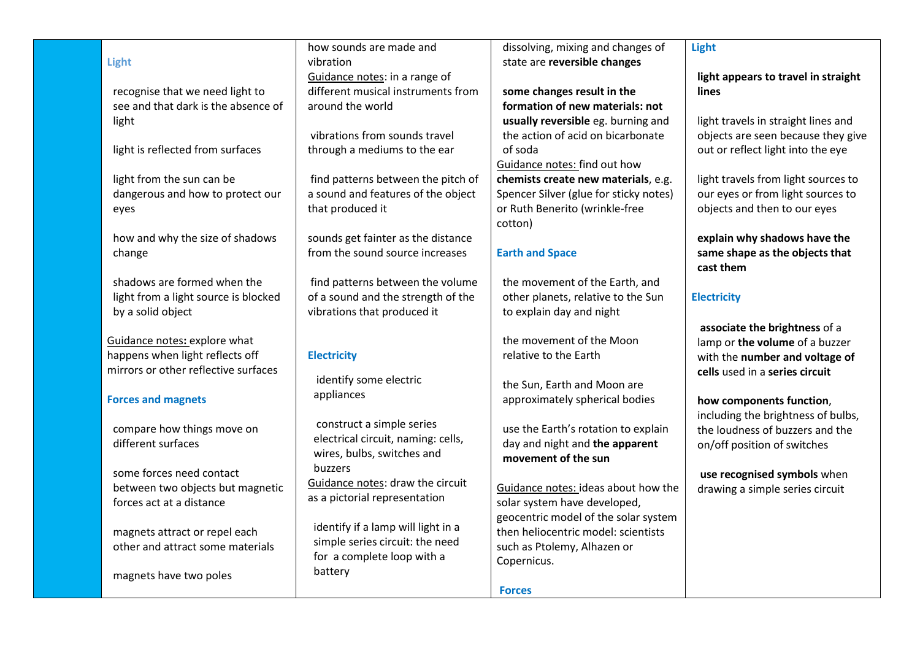|                                                              | how sounds are made and            | dissolving, mixing and changes of                     | <b>Light</b>                        |
|--------------------------------------------------------------|------------------------------------|-------------------------------------------------------|-------------------------------------|
| Light                                                        | vibration                          | state are reversible changes                          |                                     |
|                                                              | Guidance notes: in a range of      |                                                       | light appears to travel in straight |
| recognise that we need light to                              | different musical instruments from | some changes result in the                            | lines                               |
| see and that dark is the absence of                          | around the world                   | formation of new materials: not                       |                                     |
| light                                                        |                                    | usually reversible eg. burning and                    | light travels in straight lines and |
|                                                              | vibrations from sounds travel      | the action of acid on bicarbonate                     | objects are seen because they give  |
| light is reflected from surfaces                             | through a mediums to the ear       | of soda                                               | out or reflect light into the eye   |
|                                                              |                                    | Guidance notes: find out how                          |                                     |
| light from the sun can be                                    | find patterns between the pitch of | chemists create new materials, e.g.                   | light travels from light sources to |
| dangerous and how to protect our                             | a sound and features of the object | Spencer Silver (glue for sticky notes)                | our eyes or from light sources to   |
| eyes                                                         | that produced it                   | or Ruth Benerito (wrinkle-free                        | objects and then to our eyes        |
|                                                              |                                    | cotton)                                               |                                     |
| how and why the size of shadows                              | sounds get fainter as the distance |                                                       | explain why shadows have the        |
| change                                                       | from the sound source increases    | <b>Earth and Space</b>                                | same shape as the objects that      |
|                                                              |                                    |                                                       | cast them                           |
| shadows are formed when the                                  | find patterns between the volume   | the movement of the Earth, and                        |                                     |
| light from a light source is blocked                         | of a sound and the strength of the | other planets, relative to the Sun                    | <b>Electricity</b>                  |
| by a solid object                                            | vibrations that produced it        | to explain day and night                              |                                     |
|                                                              |                                    |                                                       | associate the brightness of a       |
| Guidance notes: explore what                                 |                                    | the movement of the Moon                              | lamp or the volume of a buzzer      |
| happens when light reflects off                              | <b>Electricity</b>                 | relative to the Earth                                 | with the number and voltage of      |
| mirrors or other reflective surfaces                         | identify some electric             |                                                       | cells used in a series circuit      |
|                                                              | appliances                         | the Sun, Earth and Moon are                           |                                     |
| <b>Forces and magnets</b>                                    |                                    | approximately spherical bodies                        | how components function,            |
|                                                              | construct a simple series          |                                                       | including the brightness of bulbs,  |
| compare how things move on                                   | electrical circuit, naming: cells, | use the Earth's rotation to explain                   | the loudness of buzzers and the     |
| different surfaces                                           | wires, bulbs, switches and         | day and night and the apparent<br>movement of the sun | on/off position of switches         |
|                                                              | buzzers                            |                                                       |                                     |
| some forces need contact<br>between two objects but magnetic | Guidance notes: draw the circuit   | Guidance notes: ideas about how the                   | use recognised symbols when         |
| forces act at a distance                                     | as a pictorial representation      | solar system have developed,                          | drawing a simple series circuit     |
|                                                              |                                    | geocentric model of the solar system                  |                                     |
| magnets attract or repel each                                | identify if a lamp will light in a | then heliocentric model: scientists                   |                                     |
| other and attract some materials                             | simple series circuit: the need    | such as Ptolemy, Alhazen or                           |                                     |
|                                                              | for a complete loop with a         | Copernicus.                                           |                                     |
| magnets have two poles                                       | battery                            |                                                       |                                     |
|                                                              |                                    | <b>Forces</b>                                         |                                     |
|                                                              |                                    |                                                       |                                     |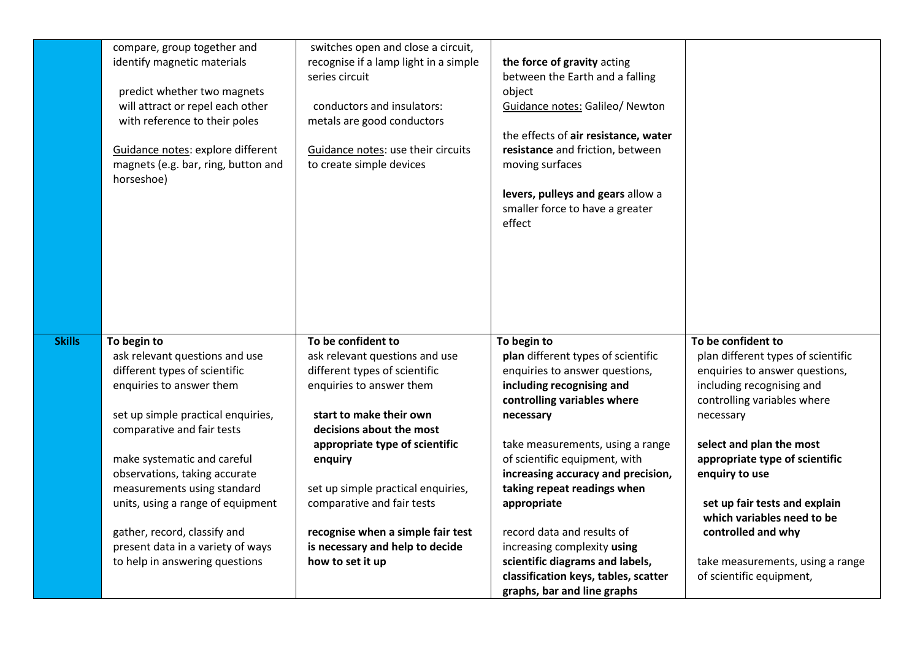|               | compare, group together and<br>identify magnetic materials<br>predict whether two magnets<br>will attract or repel each other<br>with reference to their poles<br>Guidance notes: explore different<br>magnets (e.g. bar, ring, button and<br>horseshoe)                                                                                                                                                                  | switches open and close a circuit,<br>recognise if a lamp light in a simple<br>series circuit<br>conductors and insulators:<br>metals are good conductors<br>Guidance notes: use their circuits<br>to create simple devices                                                                                                                                                           | the force of gravity acting<br>between the Earth and a falling<br>object<br>Guidance notes: Galileo/ Newton<br>the effects of air resistance, water<br>resistance and friction, between<br>moving surfaces<br>levers, pulleys and gears allow a<br>smaller force to have a greater<br>effect                                                                                                                                                                                                 |                                                                                                                                                                                                                                                                                                                                                                                                          |
|---------------|---------------------------------------------------------------------------------------------------------------------------------------------------------------------------------------------------------------------------------------------------------------------------------------------------------------------------------------------------------------------------------------------------------------------------|---------------------------------------------------------------------------------------------------------------------------------------------------------------------------------------------------------------------------------------------------------------------------------------------------------------------------------------------------------------------------------------|----------------------------------------------------------------------------------------------------------------------------------------------------------------------------------------------------------------------------------------------------------------------------------------------------------------------------------------------------------------------------------------------------------------------------------------------------------------------------------------------|----------------------------------------------------------------------------------------------------------------------------------------------------------------------------------------------------------------------------------------------------------------------------------------------------------------------------------------------------------------------------------------------------------|
| <b>Skills</b> | To begin to<br>ask relevant questions and use<br>different types of scientific<br>enquiries to answer them<br>set up simple practical enquiries,<br>comparative and fair tests<br>make systematic and careful<br>observations, taking accurate<br>measurements using standard<br>units, using a range of equipment<br>gather, record, classify and<br>present data in a variety of ways<br>to help in answering questions | To be confident to<br>ask relevant questions and use<br>different types of scientific<br>enquiries to answer them<br>start to make their own<br>decisions about the most<br>appropriate type of scientific<br>enquiry<br>set up simple practical enquiries,<br>comparative and fair tests<br>recognise when a simple fair test<br>is necessary and help to decide<br>how to set it up | To begin to<br>plan different types of scientific<br>enquiries to answer questions,<br>including recognising and<br>controlling variables where<br>necessary<br>take measurements, using a range<br>of scientific equipment, with<br>increasing accuracy and precision,<br>taking repeat readings when<br>appropriate<br>record data and results of<br>increasing complexity using<br>scientific diagrams and labels,<br>classification keys, tables, scatter<br>graphs, bar and line graphs | To be confident to<br>plan different types of scientific<br>enquiries to answer questions,<br>including recognising and<br>controlling variables where<br>necessary<br>select and plan the most<br>appropriate type of scientific<br>enquiry to use<br>set up fair tests and explain<br>which variables need to be<br>controlled and why<br>take measurements, using a range<br>of scientific equipment, |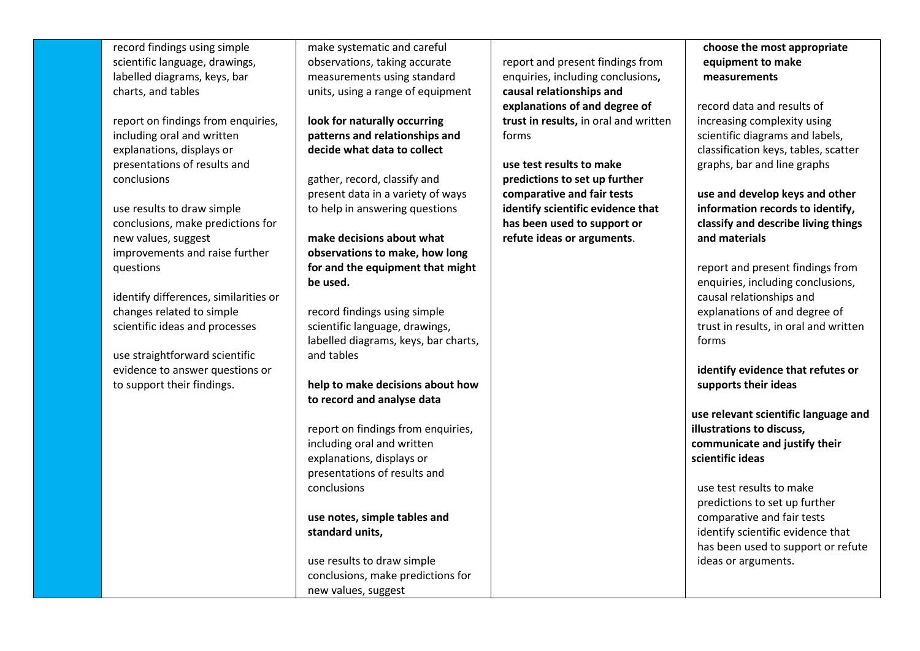record findings using simple scientific language, drawings, labelled diagrams, keys, bar charts, and tables

report on findings from enquiries, including oral and written explanations, displays or presentations of results and conclusions

use results to draw simple conclusions, make predictions for new values, suggest improvements and raise further questions

identify differences, similarities or changes related to simple scientific ideas and processes

use straightforward scientific evidence to answer questions or to support their findings.

make systematic and careful observations, taking accurate measurements using standard units, using a range of equipment

**look for naturally occurring patterns and relationships and decide what data to collect** 

gather, record, classify and present data in a variety of ways to help in answering questions

**make decisions about what observations to make, how long for and the equipment that might be used.** 

record findings using simple scientific language, drawings, labelled diagrams, keys, bar charts, and tables

**help to make decisions about how to record and analyse data** 

report on findings from enquiries, including oral and written explanations, displays or presentations of results and conclusions

**use notes, simple tables and standard units,** 

use results to draw simple conclusions, make predictions for new values, suggest

report and present findings from enquiries, including conclusions**, causal relationships and explanations of and degree of trust in results,** in oral and written forms

**use test results to make predictions to set up further comparative and fair tests identify scientific evidence that has been used to support or refute ideas or arguments**.

**choose the most appropriate equipment to make measurements**

record data and results of increasing complexity using scientific diagrams and labels, classification keys, tables, scatter graphs, bar and line graphs

**use and develop keys and other information records to identify, classify and describe living things and materials**

report and present findings from enquiries, including conclusions, causal relationships and explanations of and degree of trust in results, in oral and written forms

**identify evidence that refutes or supports their ideas**

**use relevant scientific language and illustrations to discuss, communicate and justify their scientific ideas**

use test results to make predictions to set up further comparative and fair tests identify scientific evidence that has been used to support or refute ideas or arguments.